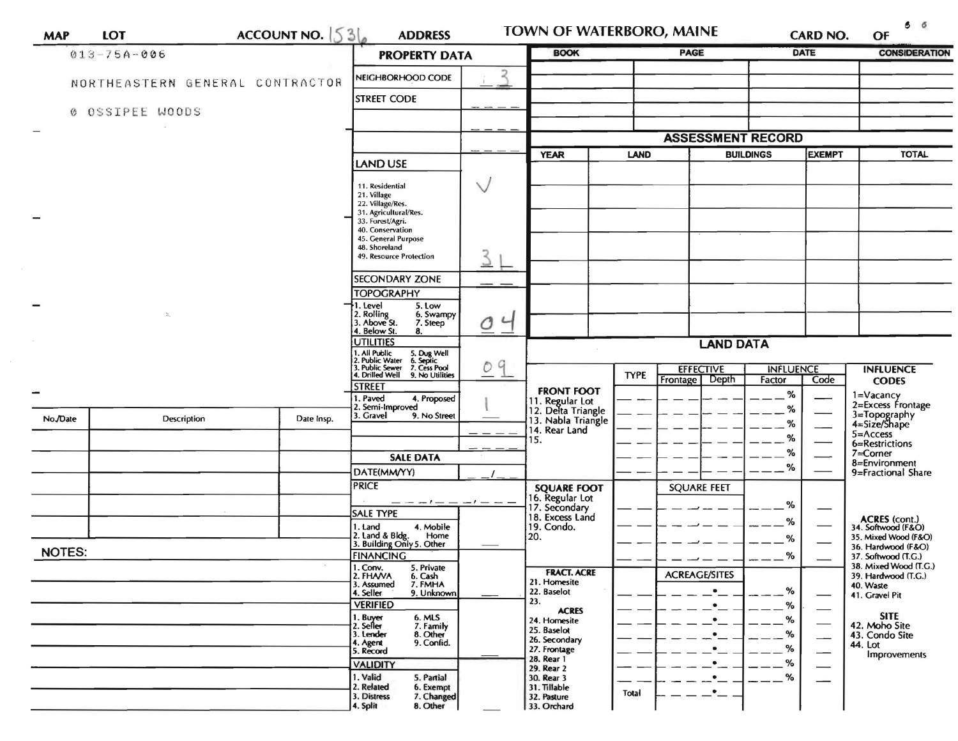| <b>MAP</b>    | <b>LOT</b>                      | ACCOUNT NO. $536$ | <b>ADDRESS</b>                                                                                                                               |                      | <b>TOWN OF WATERBORO, MAINE</b>                                                     |             |                                    | <b>CARD NO.</b>                   | $\circ$ $\circ$<br>OF |                                                   |  |
|---------------|---------------------------------|-------------------|----------------------------------------------------------------------------------------------------------------------------------------------|----------------------|-------------------------------------------------------------------------------------|-------------|------------------------------------|-----------------------------------|-----------------------|---------------------------------------------------|--|
|               | $013 - 75A - 006$               |                   |                                                                                                                                              | <b>PROPERTY DATA</b> |                                                                                     |             | <b>PAGE</b>                        |                                   | <b>DATE</b>           | <b>CONSIDERATION</b>                              |  |
|               | NORTHEASTERN GENERAL CONTRACTOR |                   | NEIGHBORHOOD CODE                                                                                                                            | $\mathcal{R}$        |                                                                                     |             |                                    |                                   |                       |                                                   |  |
|               |                                 |                   | <b>STREET CODE</b>                                                                                                                           |                      |                                                                                     |             |                                    |                                   |                       |                                                   |  |
|               | 0 OSSIPEE WOODS                 |                   |                                                                                                                                              |                      |                                                                                     |             |                                    |                                   |                       |                                                   |  |
|               |                                 |                   |                                                                                                                                              |                      | <b>ASSESSMENT RECORD</b>                                                            |             |                                    |                                   |                       |                                                   |  |
|               |                                 |                   | <b>LAND USE</b>                                                                                                                              |                      | <b>YEAR</b>                                                                         | <b>LAND</b> |                                    | <b>BUILDINGS</b><br><b>EXEMPT</b> |                       | <b>TOTAL</b>                                      |  |
|               |                                 |                   | 11. Residential<br>21. Village<br>22. Village/Res.<br>31. Agricultural/Res.<br>33. Forest/Agri.<br>40. Conservation                          | $\vee$               |                                                                                     |             |                                    |                                   |                       |                                                   |  |
|               |                                 |                   | 45. General Purpose<br>48. Shoreland<br>49. Resource Protection                                                                              | 3                    |                                                                                     |             |                                    |                                   |                       |                                                   |  |
|               |                                 |                   | <b>SECONDARY ZONE</b>                                                                                                                        |                      |                                                                                     |             |                                    |                                   |                       |                                                   |  |
|               |                                 |                   | <b>TOPOGRAPHY</b>                                                                                                                            |                      |                                                                                     |             |                                    |                                   |                       |                                                   |  |
|               | $\Omega_{\rm c}$                |                   | 11. Level<br>5. Low<br>2. Rolling<br>3. Above St.<br>6. Swampy<br>7. Steep<br>4. Below St.<br>8.                                             | 04                   |                                                                                     |             |                                    |                                   |                       |                                                   |  |
|               |                                 |                   | <b>UTILITIES</b>                                                                                                                             |                      | <b>LAND DATA</b>                                                                    |             |                                    |                                   |                       |                                                   |  |
|               |                                 |                   | 1. All Public 5. Dug Well<br>2. Public Water 6. Septic<br>3. Public Sewer 7. Cess Pool<br>4. Drilled Well 9. No Utilities<br>9. No Utilities | 9<br>O               |                                                                                     | <b>TYPE</b> | <b>EFFECTIVE</b><br>Frontage Depth | <b>INFLUENCE</b><br>Factor        | Code                  | <b>INFLUENCE</b>                                  |  |
|               |                                 |                   | <b>STREET</b>                                                                                                                                |                      | <b>FRONT FOOT</b>                                                                   |             |                                    | %                                 |                       | <b>CODES</b><br>1=Vacancy                         |  |
| No./Date      | Description                     | Date Insp.        | 1. Paved<br>4. Proposed<br>2. Semi-Improved<br>3. Gravel<br>9. No Street                                                                     |                      | 11. Regular Lot<br>12. Delta Triangle<br>13. Nabla Triangle<br>14. Rear Land<br>15. |             |                                    | %<br>$\%$                         |                       | 2=Excess Frontage<br>3=Topography<br>4=Size/Shape |  |
|               |                                 |                   |                                                                                                                                              |                      |                                                                                     |             |                                    | %                                 |                       | $5 =$ Access<br>6=Restrictions                    |  |
|               |                                 |                   | <b>SALE DATA</b>                                                                                                                             |                      |                                                                                     |             |                                    | %                                 |                       | 7=Corner                                          |  |
|               |                                 |                   | DATE(MM/YY)                                                                                                                                  |                      |                                                                                     |             |                                    | %                                 |                       | 8=Environment<br>9=Fractional Share               |  |
|               |                                 |                   | <b>PRICE</b>                                                                                                                                 |                      | <b>SQUARE FOOT</b><br>16. Regular Lot<br>17. Secondary                              |             | <b>SQUARE FEET</b>                 |                                   |                       |                                                   |  |
|               |                                 |                   | <b>SALE TYPE</b>                                                                                                                             |                      | 18. Excess Land                                                                     |             |                                    | %                                 |                       |                                                   |  |
|               |                                 |                   | 4. Mobile<br>1. Land<br>Home                                                                                                                 |                      | 19. Condo.<br>20.                                                                   |             |                                    | %                                 |                       | <b>ACRES</b> (cont.)<br>34. Softwood (F&O)        |  |
| <b>NOTES:</b> |                                 |                   | 2. Land & Bldg. Home<br>3. Building Only 5. Other                                                                                            |                      |                                                                                     |             |                                    | %                                 |                       | 35. Mixed Wood (F&O)<br>36. Hardwood (F&O)        |  |
|               |                                 |                   | <b>FINANCING</b><br>$1.$ Conv.<br>5. Private                                                                                                 |                      |                                                                                     |             |                                    | %                                 |                       | 37. Softwood (T.G.)<br>38. Mixed Wood (T.G.)      |  |
|               |                                 |                   | 2. FHAVA<br>6. Cash<br>7. FMHA<br>3. Assumed                                                                                                 |                      | <b>FRACT. ACRE</b><br>21. Homesite                                                  |             | <b>ACREAGE/SITES</b>               |                                   |                       | 39. Hardwood (T.G.)<br>40. Waste                  |  |
|               |                                 |                   | 4. Seller<br>9. Unknown<br><b>VERIFIED</b>                                                                                                   |                      | 22. Baselot<br>23.                                                                  |             |                                    | %<br>%                            |                       | 41. Gravel Pit                                    |  |
|               |                                 |                   |                                                                                                                                              |                      | <b>ACRES</b><br>24. Homesite                                                        |             |                                    | %                                 |                       | <b>SITE</b>                                       |  |
|               |                                 |                   | 1. Buyer<br>2. Seiler<br>6. MLS<br>7. Family<br>8. Other<br>3. Lender                                                                        |                      | 25. Baselot                                                                         |             |                                    | %                                 |                       | 42. Moho Site<br>43. Condo Site                   |  |
|               |                                 |                   | 4. Agent<br>5. Record<br>9. Confid.                                                                                                          |                      | 26. Secondary<br>27. Frontage                                                       |             |                                    | %                                 |                       | 44. Lot                                           |  |
|               |                                 |                   | <b>VALIDITY</b>                                                                                                                              |                      | 28. Rear 1<br>29. Rear 2                                                            |             |                                    | %                                 |                       | Improvements                                      |  |
|               |                                 |                   | 1. Valid<br>5. Partial                                                                                                                       |                      | 30. Rear 3                                                                          |             |                                    | %                                 |                       |                                                   |  |
|               |                                 |                   | 2. Related<br>6. Exempt<br>3. Distress<br>7. Changed<br>4. Split<br>8. Other                                                                 |                      | 31. Tillable<br>32. Pasture<br>33. Orchard                                          | Total       | $\bullet$                          |                                   |                       |                                                   |  |